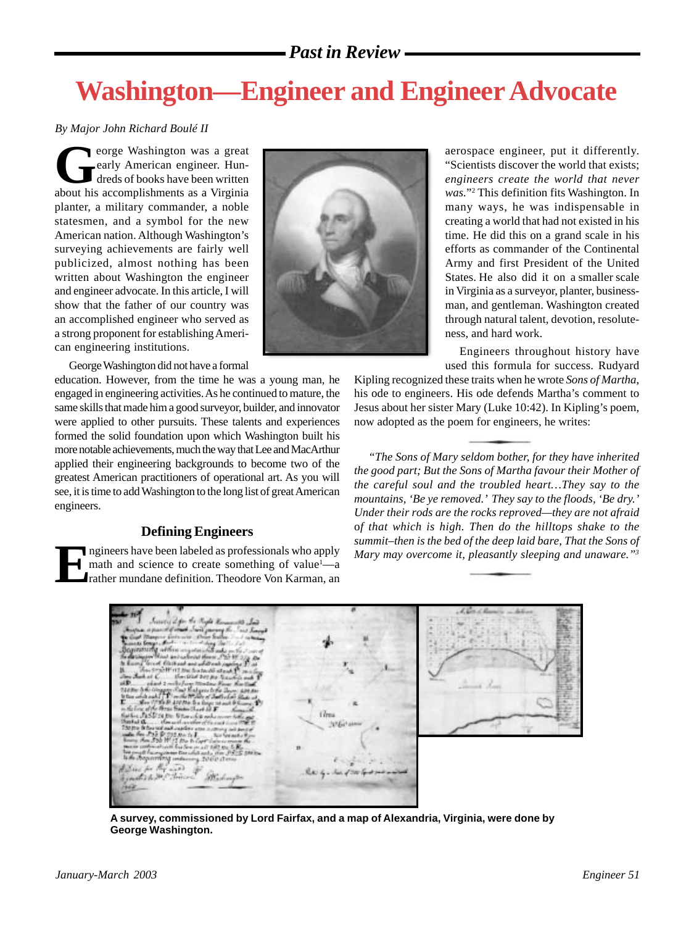# *Past in Review*

# **Washington—Engineer and Engineer Advocate**

#### *By Major John Richard Boulé II*

eorge Washington was a great<br>early American engineer. Hun-<br>dreds of books have been written<br>about his accomplishments as a Virginia early American engineer. Hundreds of books have been written about his accomplishments as a Virginia planter, a military commander, a noble statesmen, and a symbol for the new American nation. Although Washington's surveying achievements are fairly well publicized, almost nothing has been written about Washington the engineer and engineer advocate. In this article, I will show that the father of our country was an accomplished engineer who served as a strong proponent for establishing American engineering institutions.

George Washington did not have a formal

education. However, from the time he was a young man, he engaged in engineering activities. As he continued to mature, the same skills that made him a good surveyor, builder, and innovator were applied to other pursuits. These talents and experiences formed the solid foundation upon which Washington built his more notable achievements, much the way that Lee and MacArthur applied their engineering backgrounds to become two of the greatest American practitioners of operational art. As you will see, it is time to add Washington to the long list of great American engineers.

# **Defining Engineers**

**Example 1** ngineers have been labeled as professionals who apply math and science to create something of value<sup>1</sup>—a<br>rather mundane definition. Theodore Von Karman, an math and science to create something of value<sup>1</sup>—a



aerospace engineer, put it differently. "Scientists discover the world that exists; *engineers create the world that never was.*"2 This definition fits Washington. In many ways, he was indispensable in creating a world that had not existed in his time. He did this on a grand scale in his efforts as commander of the Continental Army and first President of the United States. He also did it on a smaller scale in Virginia as a surveyor, planter, businessman, and gentleman. Washington created through natural talent, devotion, resoluteness, and hard work.

Engineers throughout history have used this formula for success. Rudyard

Kipling recognized these traits when he wrote *Sons of Martha*, his ode to engineers. His ode defends Martha's comment to Jesus about her sister Mary (Luke 10:42). In Kipling's poem, now adopted as the poem for engineers, he writes:

*"The Sons of Mary seldom bother, for they have inherited the good part; But the Sons of Martha favour their Mother of the careful soul and the troubled heart…They say to the mountains, 'Be ye removed.' They say to the floods, 'Be dry.' Under their rods are the rocks reproved—they are not afraid* o*f that which is high. Then do the hilltops shake to the summit–then is the bed of the deep laid bare, That the Sons of Mary may overcome it, pleasantly sleeping and unaware."3*



**A survey, commissioned by Lord Fairfax, and a map of Alexandria, Virginia, were done by George Washington.**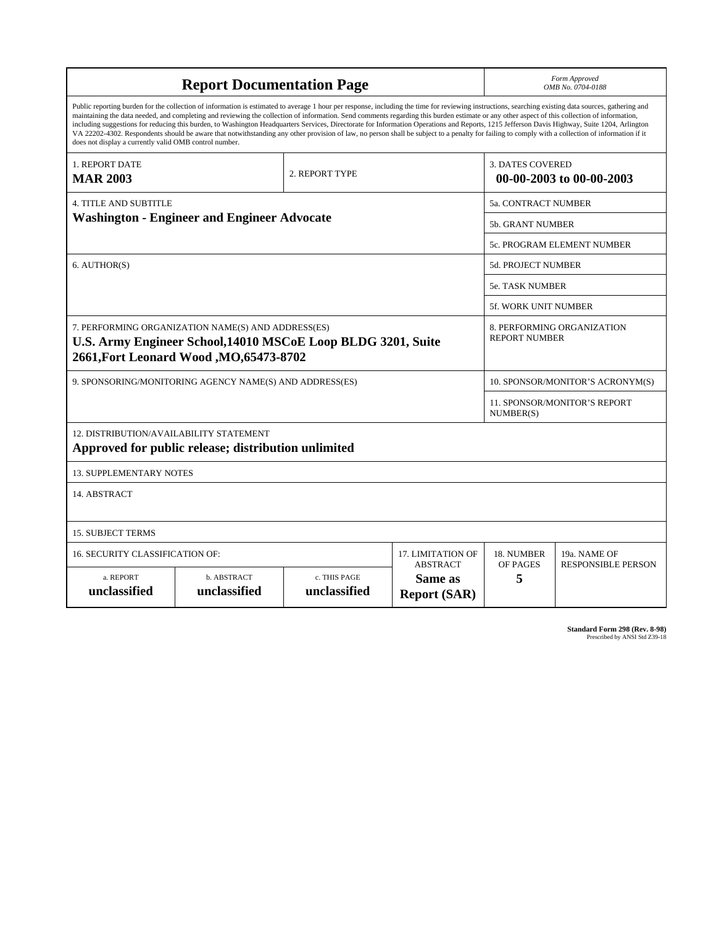| <b>Report Documentation Page</b>                                                                                                                                                                                                                                                                                                                                                                                                                                                                                                                                                                                                                                                                                                                                                                                                                                   |                             |                              |                                                   | Form Approved<br>OMB No. 0704-0188                 |                                                     |  |
|--------------------------------------------------------------------------------------------------------------------------------------------------------------------------------------------------------------------------------------------------------------------------------------------------------------------------------------------------------------------------------------------------------------------------------------------------------------------------------------------------------------------------------------------------------------------------------------------------------------------------------------------------------------------------------------------------------------------------------------------------------------------------------------------------------------------------------------------------------------------|-----------------------------|------------------------------|---------------------------------------------------|----------------------------------------------------|-----------------------------------------------------|--|
| Public reporting burden for the collection of information is estimated to average 1 hour per response, including the time for reviewing instructions, searching existing data sources, gathering and<br>maintaining the data needed, and completing and reviewing the collection of information. Send comments regarding this burden estimate or any other aspect of this collection of information,<br>including suggestions for reducing this burden, to Washington Headquarters Services, Directorate for Information Operations and Reports, 1215 Jefferson Davis Highway, Suite 1204, Arlington<br>VA 22202-4302. Respondents should be aware that notwithstanding any other provision of law, no person shall be subject to a penalty for failing to comply with a collection of information if it<br>does not display a currently valid OMB control number. |                             |                              |                                                   |                                                    |                                                     |  |
| 1. REPORT DATE<br><b>MAR 2003</b>                                                                                                                                                                                                                                                                                                                                                                                                                                                                                                                                                                                                                                                                                                                                                                                                                                  |                             | 2. REPORT TYPE               |                                                   |                                                    | <b>3. DATES COVERED</b><br>00-00-2003 to 00-00-2003 |  |
| <b>4. TITLE AND SUBTITLE</b>                                                                                                                                                                                                                                                                                                                                                                                                                                                                                                                                                                                                                                                                                                                                                                                                                                       |                             |                              |                                                   | 5a. CONTRACT NUMBER                                |                                                     |  |
| <b>Washington - Engineer and Engineer Advocate</b>                                                                                                                                                                                                                                                                                                                                                                                                                                                                                                                                                                                                                                                                                                                                                                                                                 |                             |                              |                                                   | <b>5b. GRANT NUMBER</b>                            |                                                     |  |
|                                                                                                                                                                                                                                                                                                                                                                                                                                                                                                                                                                                                                                                                                                                                                                                                                                                                    |                             |                              |                                                   | 5c. PROGRAM ELEMENT NUMBER                         |                                                     |  |
| 6. AUTHOR(S)                                                                                                                                                                                                                                                                                                                                                                                                                                                                                                                                                                                                                                                                                                                                                                                                                                                       |                             |                              |                                                   | <b>5d. PROJECT NUMBER</b>                          |                                                     |  |
|                                                                                                                                                                                                                                                                                                                                                                                                                                                                                                                                                                                                                                                                                                                                                                                                                                                                    |                             |                              |                                                   | 5e. TASK NUMBER                                    |                                                     |  |
|                                                                                                                                                                                                                                                                                                                                                                                                                                                                                                                                                                                                                                                                                                                                                                                                                                                                    |                             |                              |                                                   | 5f. WORK UNIT NUMBER                               |                                                     |  |
| 7. PERFORMING ORGANIZATION NAME(S) AND ADDRESS(ES)<br>U.S. Army Engineer School, 14010 MSCoE Loop BLDG 3201, Suite<br>2661, Fort Leonard Wood, MO, 65473-8702                                                                                                                                                                                                                                                                                                                                                                                                                                                                                                                                                                                                                                                                                                      |                             |                              |                                                   | 8. PERFORMING ORGANIZATION<br><b>REPORT NUMBER</b> |                                                     |  |
| 9. SPONSORING/MONITORING AGENCY NAME(S) AND ADDRESS(ES)                                                                                                                                                                                                                                                                                                                                                                                                                                                                                                                                                                                                                                                                                                                                                                                                            |                             |                              |                                                   | 10. SPONSOR/MONITOR'S ACRONYM(S)                   |                                                     |  |
|                                                                                                                                                                                                                                                                                                                                                                                                                                                                                                                                                                                                                                                                                                                                                                                                                                                                    |                             |                              |                                                   | 11. SPONSOR/MONITOR'S REPORT<br>NUMBER(S)          |                                                     |  |
| 12. DISTRIBUTION/AVAILABILITY STATEMENT<br>Approved for public release; distribution unlimited                                                                                                                                                                                                                                                                                                                                                                                                                                                                                                                                                                                                                                                                                                                                                                     |                             |                              |                                                   |                                                    |                                                     |  |
| <b>13. SUPPLEMENTARY NOTES</b>                                                                                                                                                                                                                                                                                                                                                                                                                                                                                                                                                                                                                                                                                                                                                                                                                                     |                             |                              |                                                   |                                                    |                                                     |  |
| 14. ABSTRACT                                                                                                                                                                                                                                                                                                                                                                                                                                                                                                                                                                                                                                                                                                                                                                                                                                                       |                             |                              |                                                   |                                                    |                                                     |  |
| <b>15. SUBJECT TERMS</b>                                                                                                                                                                                                                                                                                                                                                                                                                                                                                                                                                                                                                                                                                                                                                                                                                                           |                             |                              |                                                   |                                                    |                                                     |  |
| 16. SECURITY CLASSIFICATION OF:<br>17. LIMITATION OF                                                                                                                                                                                                                                                                                                                                                                                                                                                                                                                                                                                                                                                                                                                                                                                                               |                             |                              |                                                   | 18. NUMBER                                         | 19a. NAME OF                                        |  |
| a. REPORT<br>unclassified                                                                                                                                                                                                                                                                                                                                                                                                                                                                                                                                                                                                                                                                                                                                                                                                                                          | b. ABSTRACT<br>unclassified | c. THIS PAGE<br>unclassified | <b>ABSTRACT</b><br>Same as<br><b>Report (SAR)</b> | OF PAGES<br>5                                      | <b>RESPONSIBLE PERSON</b>                           |  |

**Standard Form 298 (Rev. 8-98)**<br>Prescribed by ANSI Std Z39-18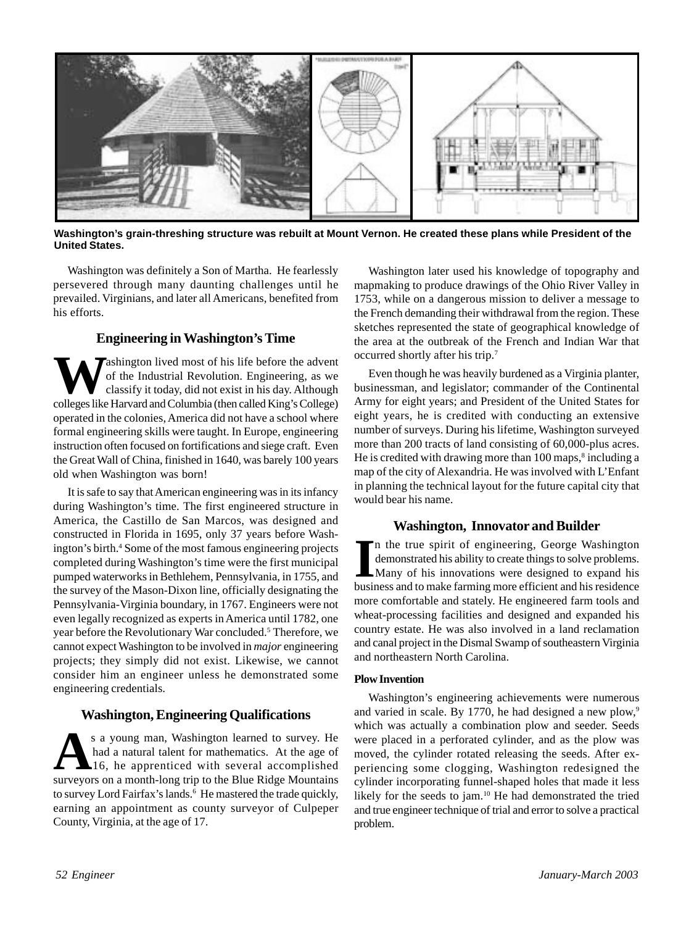

**Washington's grain-threshing structure was rebuilt at Mount Vernon. He created these plans while President of the United States.**

Washington was definitely a Son of Martha. He fearlessly persevered through many daunting challenges until he prevailed. Virginians, and later all Americans, benefited from his efforts.

# **Engineering in Washington's Time**

**Tashington lived most of his life before the advent** of the Industrial Revolution. Engineering, as we classify it today, did not exist in his day. Although colleges like Harvard and Columbia (then called King's College) operated in the colonies, America did not have a school where formal engineering skills were taught. In Europe, engineering instruction often focused on fortifications and siege craft. Even the Great Wall of China, finished in 1640, was barely 100 years old when Washington was born!

It is safe to say that American engineering was in its infancy during Washington's time. The first engineered structure in America, the Castillo de San Marcos, was designed and constructed in Florida in 1695, only 37 years before Washington's birth.4 Some of the most famous engineering projects completed during Washington's time were the first municipal pumped waterworks in Bethlehem, Pennsylvania, in 1755, and the survey of the Mason-Dixon line, officially designating the Pennsylvania-Virginia boundary, in 1767. Engineers were not even legally recognized as experts in America until 1782, one year before the Revolutionary War concluded.<sup>5</sup> Therefore, we cannot expect Washington to be involved in *major* engineering projects; they simply did not exist. Likewise, we cannot consider him an engineer unless he demonstrated some engineering credentials.

# **Washington, Engineering Qualifications**

**A**s a young man, Washington learned to survey. He had a natural talent for mathematics. At the age of 16, he apprenticed with several accomplished surveyors on a month-long trip to the Blue Ridge Mountains to survey Lord Fairfax's lands.<sup>6</sup> He mastered the trade quickly, earning an appointment as county surveyor of Culpeper County, Virginia, at the age of 17.

Washington later used his knowledge of topography and mapmaking to produce drawings of the Ohio River Valley in 1753, while on a dangerous mission to deliver a message to the French demanding their withdrawal from the region. These sketches represented the state of geographical knowledge of the area at the outbreak of the French and Indian War that occurred shortly after his trip.7

Even though he was heavily burdened as a Virginia planter, businessman, and legislator; commander of the Continental Army for eight years; and President of the United States for eight years, he is credited with conducting an extensive number of surveys. During his lifetime, Washington surveyed more than 200 tracts of land consisting of 60,000-plus acres. He is credited with drawing more than 100 maps,<sup>8</sup> including a map of the city of Alexandria. He was involved with L'Enfant in planning the technical layout for the future capital city that would bear his name.

# **Washington, Innovator and Builder**

In the true spirit of engineering, George Washington demonstrated his ability to create things to solve problems.<br>Many of his innovations were designed to expand his business and to make farming more efficient and his resi n the true spirit of engineering, George Washington demonstrated his ability to create things to solve problems. Many of his innovations were designed to expand his more comfortable and stately. He engineered farm tools and wheat-processing facilities and designed and expanded his country estate. He was also involved in a land reclamation and canal project in the Dismal Swamp of southeastern Virginia and northeastern North Carolina.

#### **Plow Invention**

Washington's engineering achievements were numerous and varied in scale. By 1770, he had designed a new plow,<sup>9</sup> which was actually a combination plow and seeder. Seeds were placed in a perforated cylinder, and as the plow was moved, the cylinder rotated releasing the seeds. After experiencing some clogging, Washington redesigned the cylinder incorporating funnel-shaped holes that made it less likely for the seeds to jam.<sup>10</sup> He had demonstrated the tried and true engineer technique of trial and error to solve a practical problem.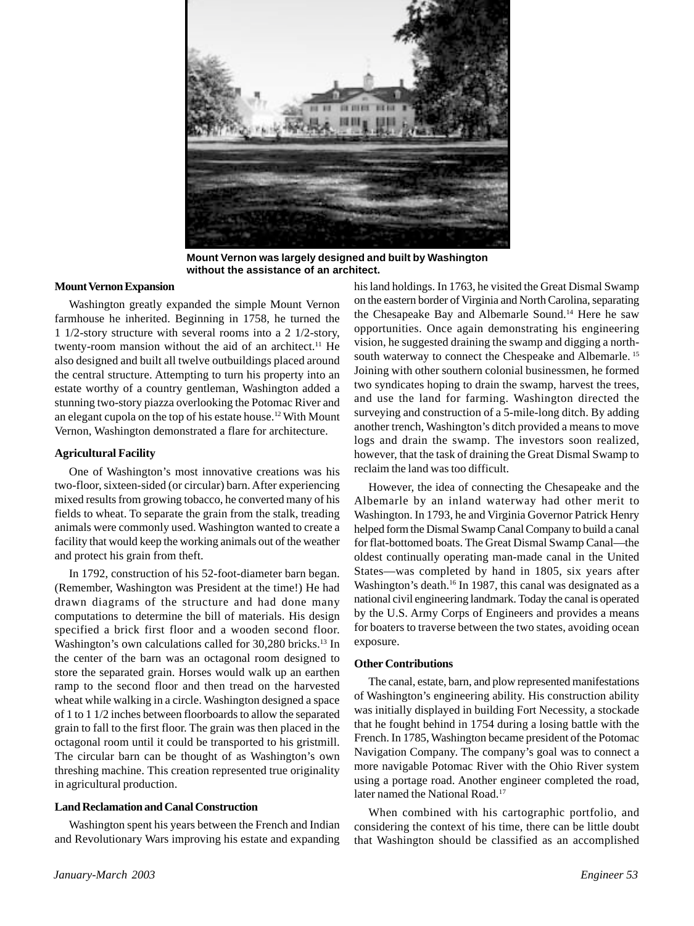

**Mount Vernon was largely designed and built by Washington without the assistance of an architect.**

#### **Mount Vernon Expansion**

Washington greatly expanded the simple Mount Vernon farmhouse he inherited. Beginning in 1758, he turned the 1 1/2-story structure with several rooms into a 2 1/2-story, twenty-room mansion without the aid of an architect.<sup>11</sup> He also designed and built all twelve outbuildings placed around the central structure. Attempting to turn his property into an estate worthy of a country gentleman, Washington added a stunning two-story piazza overlooking the Potomac River and an elegant cupola on the top of his estate house.12 With Mount Vernon, Washington demonstrated a flare for architecture.

#### **Agricultural Facility**

One of Washington's most innovative creations was his two-floor, sixteen-sided (or circular) barn. After experiencing mixed results from growing tobacco, he converted many of his fields to wheat. To separate the grain from the stalk, treading animals were commonly used. Washington wanted to create a facility that would keep the working animals out of the weather and protect his grain from theft.

In 1792, construction of his 52-foot-diameter barn began. (Remember, Washington was President at the time!) He had drawn diagrams of the structure and had done many computations to determine the bill of materials. His design specified a brick first floor and a wooden second floor. Washington's own calculations called for 30,280 bricks.<sup>13</sup> In the center of the barn was an octagonal room designed to store the separated grain. Horses would walk up an earthen ramp to the second floor and then tread on the harvested wheat while walking in a circle. Washington designed a space of 1 to 1 1/2 inches between floorboards to allow the separated grain to fall to the first floor. The grain was then placed in the octagonal room until it could be transported to his gristmill. The circular barn can be thought of as Washington's own threshing machine. This creation represented true originality in agricultural production.

#### **Land Reclamation and Canal Construction**

Washington spent his years between the French and Indian and Revolutionary Wars improving his estate and expanding his land holdings. In 1763, he visited the Great Dismal Swamp on the eastern border of Virginia and North Carolina, separating the Chesapeake Bay and Albemarle Sound.<sup>14</sup> Here he saw opportunities. Once again demonstrating his engineering vision, he suggested draining the swamp and digging a northsouth waterway to connect the Chespeake and Albemarle.<sup>15</sup> Joining with other southern colonial businessmen, he formed two syndicates hoping to drain the swamp, harvest the trees, and use the land for farming. Washington directed the surveying and construction of a 5-mile-long ditch. By adding another trench, Washington's ditch provided a means to move logs and drain the swamp. The investors soon realized, however, that the task of draining the Great Dismal Swamp to reclaim the land was too difficult.

However, the idea of connecting the Chesapeake and the Albemarle by an inland waterway had other merit to Washington. In 1793, he and Virginia Governor Patrick Henry helped form the Dismal Swamp Canal Company to build a canal for flat-bottomed boats. The Great Dismal Swamp Canal—the oldest continually operating man-made canal in the United States—was completed by hand in 1805, six years after Washington's death.<sup>16</sup> In 1987, this canal was designated as a national civil engineering landmark. Today the canal is operated by the U.S. Army Corps of Engineers and provides a means for boaters to traverse between the two states, avoiding ocean exposure.

#### **Other Contributions**

The canal, estate, barn, and plow represented manifestations of Washington's engineering ability. His construction ability was initially displayed in building Fort Necessity, a stockade that he fought behind in 1754 during a losing battle with the French. In 1785, Washington became president of the Potomac Navigation Company. The company's goal was to connect a more navigable Potomac River with the Ohio River system using a portage road. Another engineer completed the road, later named the National Road.<sup>17</sup>

When combined with his cartographic portfolio, and considering the context of his time, there can be little doubt that Washington should be classified as an accomplished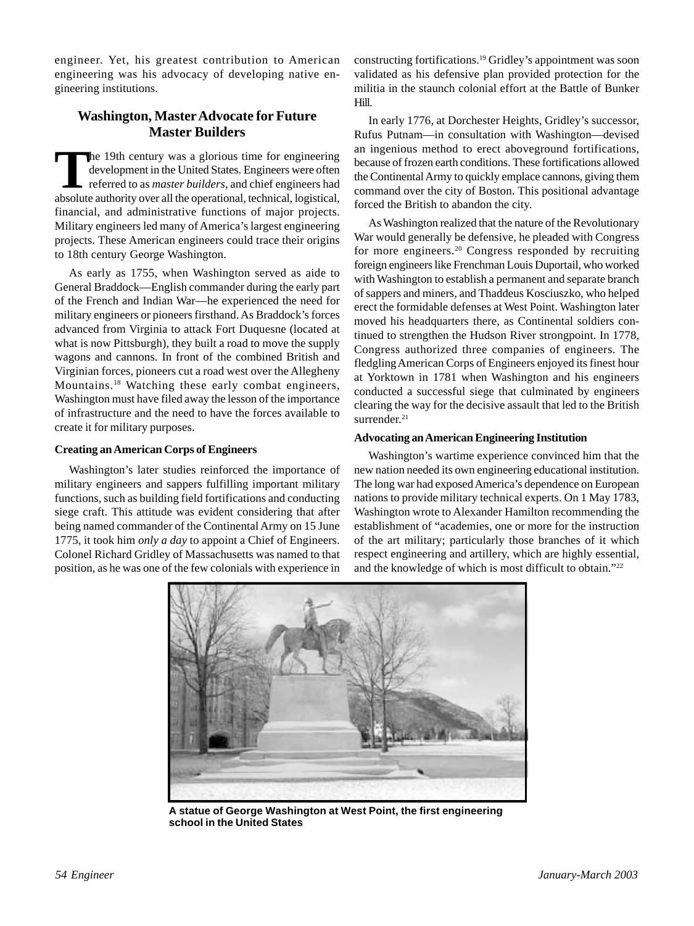engineer. Yet, his greatest contribution to American engineering was his advocacy of developing native engineering institutions.

# **Washington, Master Advocate for Future Master Builders**

**T**he 19th century was a glorious time for engineering development in the United States. Engineers were often referred to as *master builders*, and chief engineers had absolute authority over all the operational, technical, logistical, financial, and administrative functions of major projects. Military engineers led many of America's largest engineering projects. These American engineers could trace their origins to 18th century George Washington.

As early as 1755, when Washington served as aide to General Braddock—English commander during the early part of the French and Indian War—he experienced the need for military engineers or pioneers firsthand. As Braddock's forces advanced from Virginia to attack Fort Duquesne (located at what is now Pittsburgh), they built a road to move the supply wagons and cannons. In front of the combined British and Virginian forces, pioneers cut a road west over the Allegheny Mountains.18 Watching these early combat engineers, Washington must have filed away the lesson of the importance of infrastructure and the need to have the forces available to create it for military purposes.

### **Creating an American Corps of Engineers**

Washington's later studies reinforced the importance of military engineers and sappers fulfilling important military functions, such as building field fortifications and conducting siege craft. This attitude was evident considering that after being named commander of the Continental Army on 15 June 1775, it took him *only a day* to appoint a Chief of Engineers. Colonel Richard Gridley of Massachusetts was named to that position, as he was one of the few colonials with experience in

constructing fortifications.19 Gridley's appointment was soon validated as his defensive plan provided protection for the militia in the staunch colonial effort at the Battle of Bunker Hill.

In early 1776, at Dorchester Heights, Gridley's successor, Rufus Putnam—in consultation with Washington—devised an ingenious method to erect aboveground fortifications, because of frozen earth conditions. These fortifications allowed the Continental Army to quickly emplace cannons, giving them command over the city of Boston. This positional advantage forced the British to abandon the city.

As Washington realized that the nature of the Revolutionary War would generally be defensive, he pleaded with Congress for more engineers.<sup>20</sup> Congress responded by recruiting foreign engineers like Frenchman Louis Duportail, who worked with Washington to establish a permanent and separate branch of sappers and miners, and Thaddeus Kosciuszko, who helped erect the formidable defenses at West Point. Washington later moved his headquarters there, as Continental soldiers continued to strengthen the Hudson River strongpoint. In 1778, Congress authorized three companies of engineers. The fledgling American Corps of Engineers enjoyed its finest hour at Yorktown in 1781 when Washington and his engineers conducted a successful siege that culminated by engineers clearing the way for the decisive assault that led to the British surrender.<sup>21</sup>

#### **Advocating an American Engineering Institution**

Washington's wartime experience convinced him that the new nation needed its own engineering educational institution. The long war had exposed America's dependence on European nations to provide military technical experts. On 1 May 1783, Washington wrote to Alexander Hamilton recommending the establishment of "academies, one or more for the instruction of the art military; particularly those branches of it which respect engineering and artillery, which are highly essential, and the knowledge of which is most difficult to obtain."22



**A statue of George Washington at West Point, the first engineering school in the United States**